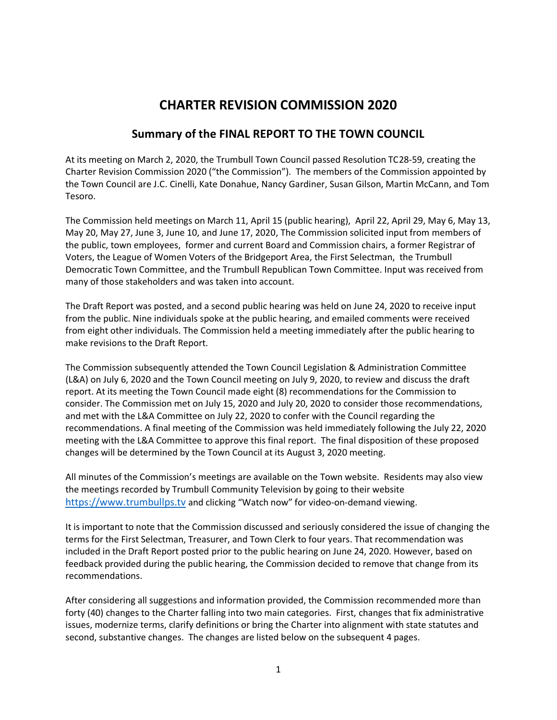## **CHARTER REVISION COMMISSION 2020**

## **Summary of the FINAL REPORT TO THE TOWN COUNCIL**

At its meeting on March 2, 2020, the Trumbull Town Council passed Resolution TC28-59, creating the Charter Revision Commission 2020 ("the Commission"). The members of the Commission appointed by the Town Council are J.C. Cinelli, Kate Donahue, Nancy Gardiner, Susan Gilson, Martin McCann, and Tom Tesoro.

The Commission held meetings on March 11, April 15 (public hearing), April 22, April 29, May 6, May 13, May 20, May 27, June 3, June 10, and June 17, 2020, The Commission solicited input from members of the public, town employees, former and current Board and Commission chairs, a former Registrar of Voters, the League of Women Voters of the Bridgeport Area, the First Selectman, the Trumbull Democratic Town Committee, and the Trumbull Republican Town Committee. Input was received from many of those stakeholders and was taken into account.

The Draft Report was posted, and a second public hearing was held on June 24, 2020 to receive input from the public. Nine individuals spoke at the public hearing, and emailed comments were received from eight other individuals. The Commission held a meeting immediately after the public hearing to make revisions to the Draft Report.

The Commission subsequently attended the Town Council Legislation & Administration Committee (L&A) on July 6, 2020 and the Town Council meeting on July 9, 2020, to review and discuss the draft report. At its meeting the Town Council made eight (8) recommendations for the Commission to consider. The Commission met on July 15, 2020 and July 20, 2020 to consider those recommendations, and met with the L&A Committee on July 22, 2020 to confer with the Council regarding the recommendations. A final meeting of the Commission was held immediately following the July 22, 2020 meeting with the L&A Committee to approve this final report. The final disposition of these proposed changes will be determined by the Town Council at its August 3, 2020 meeting.

All minutes of the Commission's meetings are available on the Town website. Residents may also view the meetings recorded by Trumbull Community Television by going to their website [https://www.trumbullps.tv](https://www.trumbullps.tv/) and clicking "Watch now" for video-on-demand viewing.

It is important to note that the Commission discussed and seriously considered the issue of changing the terms for the First Selectman, Treasurer, and Town Clerk to four years. That recommendation was included in the Draft Report posted prior to the public hearing on June 24, 2020. However, based on feedback provided during the public hearing, the Commission decided to remove that change from its recommendations.

After considering all suggestions and information provided, the Commission recommended more than forty (40) changes to the Charter falling into two main categories. First, changes that fix administrative issues, modernize terms, clarify definitions or bring the Charter into alignment with state statutes and second, substantive changes. The changes are listed below on the subsequent 4 pages.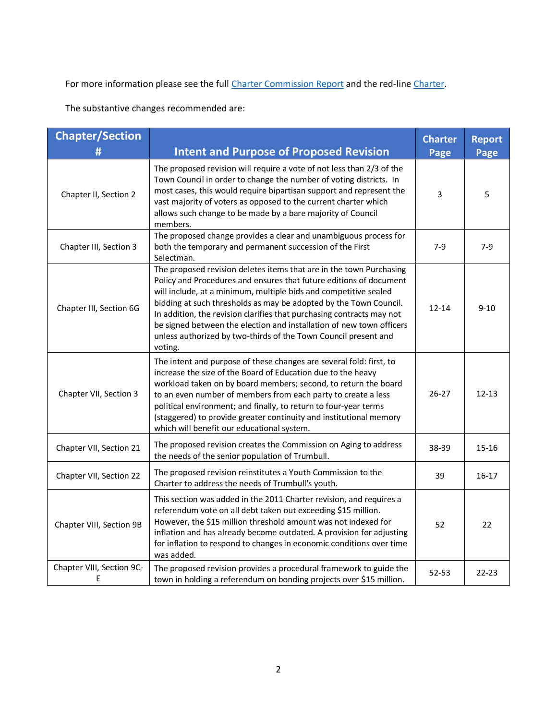For more information please see the full [Charter Commission Report](../Final%20Documents/CRC%202020%20Final%20Report%207.26.20.docx) and the red-lin[e Charter.](../Final%20Documents/Charter%20with%20recommendations%207.26.20.docx)

The substantive changes recommended are:

| <b>Chapter/Section</b><br>#    | <b>Intent and Purpose of Proposed Revision</b>                                                                                                                                                                                                                                                                                                                                                                                                                                                                    | <b>Charter</b><br>Page | <b>Report</b><br>Page |
|--------------------------------|-------------------------------------------------------------------------------------------------------------------------------------------------------------------------------------------------------------------------------------------------------------------------------------------------------------------------------------------------------------------------------------------------------------------------------------------------------------------------------------------------------------------|------------------------|-----------------------|
| Chapter II, Section 2          | The proposed revision will require a vote of not less than 2/3 of the<br>Town Council in order to change the number of voting districts. In<br>most cases, this would require bipartisan support and represent the<br>vast majority of voters as opposed to the current charter which<br>allows such change to be made by a bare majority of Council<br>members.                                                                                                                                                  | 3                      | 5                     |
| Chapter III, Section 3         | The proposed change provides a clear and unambiguous process for<br>both the temporary and permanent succession of the First<br>Selectman.                                                                                                                                                                                                                                                                                                                                                                        | $7 - 9$                | $7-9$                 |
| Chapter III, Section 6G        | The proposed revision deletes items that are in the town Purchasing<br>Policy and Procedures and ensures that future editions of document<br>will include, at a minimum, multiple bids and competitive sealed<br>bidding at such thresholds as may be adopted by the Town Council.<br>In addition, the revision clarifies that purchasing contracts may not<br>be signed between the election and installation of new town officers<br>unless authorized by two-thirds of the Town Council present and<br>voting. | $12 - 14$              | $9 - 10$              |
| Chapter VII, Section 3         | The intent and purpose of these changes are several fold: first, to<br>increase the size of the Board of Education due to the heavy<br>workload taken on by board members; second, to return the board<br>to an even number of members from each party to create a less<br>political environment; and finally, to return to four-year terms<br>(staggered) to provide greater continuity and institutional memory<br>which will benefit our educational system.                                                   | $26 - 27$              | $12 - 13$             |
| Chapter VII, Section 21        | The proposed revision creates the Commission on Aging to address<br>the needs of the senior population of Trumbull.                                                                                                                                                                                                                                                                                                                                                                                               | 38-39                  | $15 - 16$             |
| Chapter VII, Section 22        | The proposed revision reinstitutes a Youth Commission to the<br>Charter to address the needs of Trumbull's youth.                                                                                                                                                                                                                                                                                                                                                                                                 | 39                     | $16 - 17$             |
| Chapter VIII, Section 9B       | This section was added in the 2011 Charter revision, and requires a<br>referendum vote on all debt taken out exceeding \$15 million.<br>However, the \$15 million threshold amount was not indexed for<br>inflation and has already become outdated. A provision for adjusting<br>for inflation to respond to changes in economic conditions over time<br>was added.                                                                                                                                              | 52                     | 22                    |
| Chapter VIII, Section 9C-<br>E | The proposed revision provides a procedural framework to guide the<br>town in holding a referendum on bonding projects over \$15 million.                                                                                                                                                                                                                                                                                                                                                                         | $52 - 53$              | $22 - 23$             |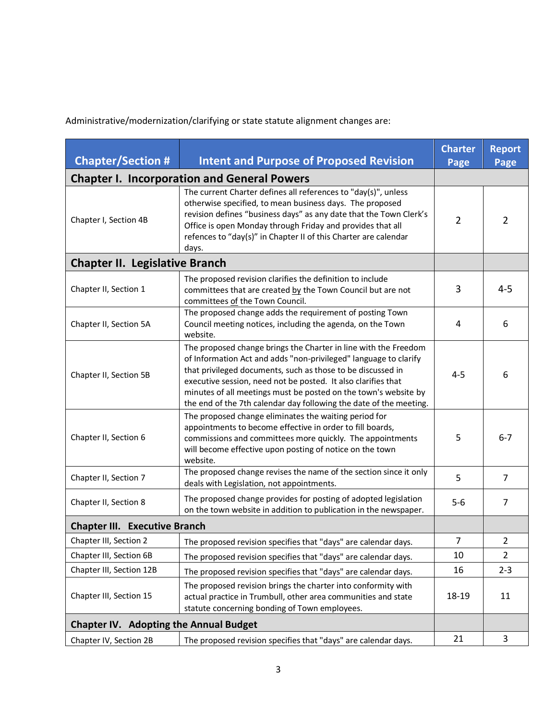Administrative/modernization/clarifying or state statute alignment changes are:

| <b>Chapter/Section #</b>                           | <b>Intent and Purpose of Proposed Revision</b>                                                                                                                                                                                                                                                                                                                                                               | <b>Charter</b> | <b>Report</b>  |
|----------------------------------------------------|--------------------------------------------------------------------------------------------------------------------------------------------------------------------------------------------------------------------------------------------------------------------------------------------------------------------------------------------------------------------------------------------------------------|----------------|----------------|
|                                                    |                                                                                                                                                                                                                                                                                                                                                                                                              | Page           | Page           |
| <b>Chapter I. Incorporation and General Powers</b> |                                                                                                                                                                                                                                                                                                                                                                                                              |                |                |
| Chapter I, Section 4B                              | The current Charter defines all references to "day(s)", unless<br>otherwise specified, to mean business days. The proposed<br>revision defines "business days" as any date that the Town Clerk's<br>Office is open Monday through Friday and provides that all<br>refences to "day(s)" in Chapter II of this Charter are calendar<br>days.                                                                   | $\overline{2}$ | $\overline{2}$ |
| <b>Chapter II. Legislative Branch</b>              |                                                                                                                                                                                                                                                                                                                                                                                                              |                |                |
| Chapter II, Section 1                              | The proposed revision clarifies the definition to include<br>committees that are created by the Town Council but are not<br>committees of the Town Council.                                                                                                                                                                                                                                                  | 3              | 4-5            |
| Chapter II, Section 5A                             | The proposed change adds the requirement of posting Town<br>Council meeting notices, including the agenda, on the Town<br>website.                                                                                                                                                                                                                                                                           | 4              | 6              |
| Chapter II, Section 5B                             | The proposed change brings the Charter in line with the Freedom<br>of Information Act and adds "non-privileged" language to clarify<br>that privileged documents, such as those to be discussed in<br>executive session, need not be posted. It also clarifies that<br>minutes of all meetings must be posted on the town's website by<br>the end of the 7th calendar day following the date of the meeting. | $4 - 5$        | 6              |
| Chapter II, Section 6                              | The proposed change eliminates the waiting period for<br>appointments to become effective in order to fill boards,<br>commissions and committees more quickly. The appointments<br>will become effective upon posting of notice on the town<br>website.                                                                                                                                                      | 5              | $6 - 7$        |
| Chapter II, Section 7                              | The proposed change revises the name of the section since it only<br>deals with Legislation, not appointments.                                                                                                                                                                                                                                                                                               | 5              | $\overline{7}$ |
| Chapter II, Section 8                              | The proposed change provides for posting of adopted legislation<br>on the town website in addition to publication in the newspaper.                                                                                                                                                                                                                                                                          | $5-6$          | 7              |
| <b>Chapter III. Executive Branch</b>               |                                                                                                                                                                                                                                                                                                                                                                                                              |                |                |
| Chapter III, Section 2                             | The proposed revision specifies that "days" are calendar days.                                                                                                                                                                                                                                                                                                                                               | $\overline{7}$ | $\overline{2}$ |
| Chapter III, Section 6B                            | The proposed revision specifies that "days" are calendar days.                                                                                                                                                                                                                                                                                                                                               | 10             | 2              |
| Chapter III, Section 12B                           | The proposed revision specifies that "days" are calendar days.                                                                                                                                                                                                                                                                                                                                               | 16             | $2 - 3$        |
| Chapter III, Section 15                            | The proposed revision brings the charter into conformity with<br>actual practice in Trumbull, other area communities and state<br>statute concerning bonding of Town employees.                                                                                                                                                                                                                              | 18-19          | 11             |
| <b>Chapter IV. Adopting the Annual Budget</b>      |                                                                                                                                                                                                                                                                                                                                                                                                              |                |                |
| Chapter IV, Section 2B                             | The proposed revision specifies that "days" are calendar days.                                                                                                                                                                                                                                                                                                                                               | 21             | 3              |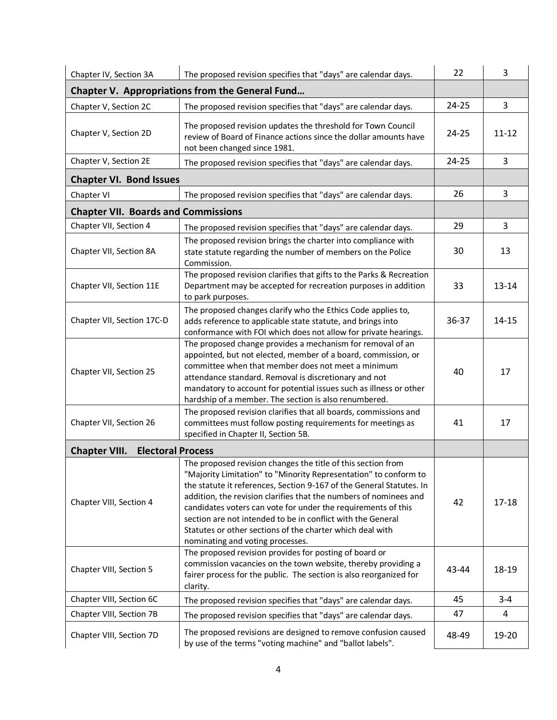| Chapter IV, Section 3A                                 | The proposed revision specifies that "days" are calendar days.                                                                                                                                                                                                                                                                                                                                                                                                                                                 | 22        | 3         |
|--------------------------------------------------------|----------------------------------------------------------------------------------------------------------------------------------------------------------------------------------------------------------------------------------------------------------------------------------------------------------------------------------------------------------------------------------------------------------------------------------------------------------------------------------------------------------------|-----------|-----------|
| <b>Chapter V. Appropriations from the General Fund</b> |                                                                                                                                                                                                                                                                                                                                                                                                                                                                                                                |           |           |
| Chapter V, Section 2C                                  | The proposed revision specifies that "days" are calendar days.                                                                                                                                                                                                                                                                                                                                                                                                                                                 | 24-25     | 3         |
| Chapter V, Section 2D                                  | The proposed revision updates the threshold for Town Council<br>review of Board of Finance actions since the dollar amounts have<br>not been changed since 1981.                                                                                                                                                                                                                                                                                                                                               | $24 - 25$ | $11 - 12$ |
| Chapter V, Section 2E                                  | The proposed revision specifies that "days" are calendar days.                                                                                                                                                                                                                                                                                                                                                                                                                                                 | $24 - 25$ | 3         |
| <b>Chapter VI. Bond Issues</b>                         |                                                                                                                                                                                                                                                                                                                                                                                                                                                                                                                |           |           |
| Chapter VI                                             | The proposed revision specifies that "days" are calendar days.                                                                                                                                                                                                                                                                                                                                                                                                                                                 | 26        | 3         |
| <b>Chapter VII. Boards and Commissions</b>             |                                                                                                                                                                                                                                                                                                                                                                                                                                                                                                                |           |           |
| Chapter VII, Section 4                                 | The proposed revision specifies that "days" are calendar days.                                                                                                                                                                                                                                                                                                                                                                                                                                                 | 29        | 3         |
| Chapter VII, Section 8A                                | The proposed revision brings the charter into compliance with<br>state statute regarding the number of members on the Police<br>Commission.                                                                                                                                                                                                                                                                                                                                                                    | 30        | 13        |
| Chapter VII, Section 11E                               | The proposed revision clarifies that gifts to the Parks & Recreation<br>Department may be accepted for recreation purposes in addition<br>to park purposes.                                                                                                                                                                                                                                                                                                                                                    | 33        | $13 - 14$ |
| Chapter VII, Section 17C-D                             | The proposed changes clarify who the Ethics Code applies to,<br>adds reference to applicable state statute, and brings into<br>conformance with FOI which does not allow for private hearings.                                                                                                                                                                                                                                                                                                                 | 36-37     | $14 - 15$ |
| Chapter VII, Section 25                                | The proposed change provides a mechanism for removal of an<br>appointed, but not elected, member of a board, commission, or<br>committee when that member does not meet a minimum<br>attendance standard. Removal is discretionary and not<br>mandatory to account for potential issues such as illness or other<br>hardship of a member. The section is also renumbered.                                                                                                                                      | 40        | 17        |
| Chapter VII, Section 26                                | The proposed revision clarifies that all boards, commissions and<br>committees must follow posting requirements for meetings as<br>specified in Chapter II, Section 5B.                                                                                                                                                                                                                                                                                                                                        | 41        | 17        |
| <b>Chapter VIII.</b><br><b>Electoral Process</b>       |                                                                                                                                                                                                                                                                                                                                                                                                                                                                                                                |           |           |
| Chapter VIII, Section 4                                | The proposed revision changes the title of this section from<br>"Majority Limitation" to "Minority Representation" to conform to<br>the statute it references, Section 9-167 of the General Statutes. In<br>addition, the revision clarifies that the numbers of nominees and<br>candidates voters can vote for under the requirements of this<br>section are not intended to be in conflict with the General<br>Statutes or other sections of the charter which deal with<br>nominating and voting processes. | 42        | $17 - 18$ |
| Chapter VIII, Section 5                                | The proposed revision provides for posting of board or<br>commission vacancies on the town website, thereby providing a<br>fairer process for the public. The section is also reorganized for<br>clarity.                                                                                                                                                                                                                                                                                                      | 43-44     | 18-19     |
| Chapter VIII, Section 6C                               | The proposed revision specifies that "days" are calendar days.                                                                                                                                                                                                                                                                                                                                                                                                                                                 | 45        | $3 - 4$   |
| Chapter VIII, Section 7B                               | The proposed revision specifies that "days" are calendar days.                                                                                                                                                                                                                                                                                                                                                                                                                                                 | 47        | 4         |
| Chapter VIII, Section 7D                               | The proposed revisions are designed to remove confusion caused<br>by use of the terms "voting machine" and "ballot labels".                                                                                                                                                                                                                                                                                                                                                                                    | 48-49     | 19-20     |